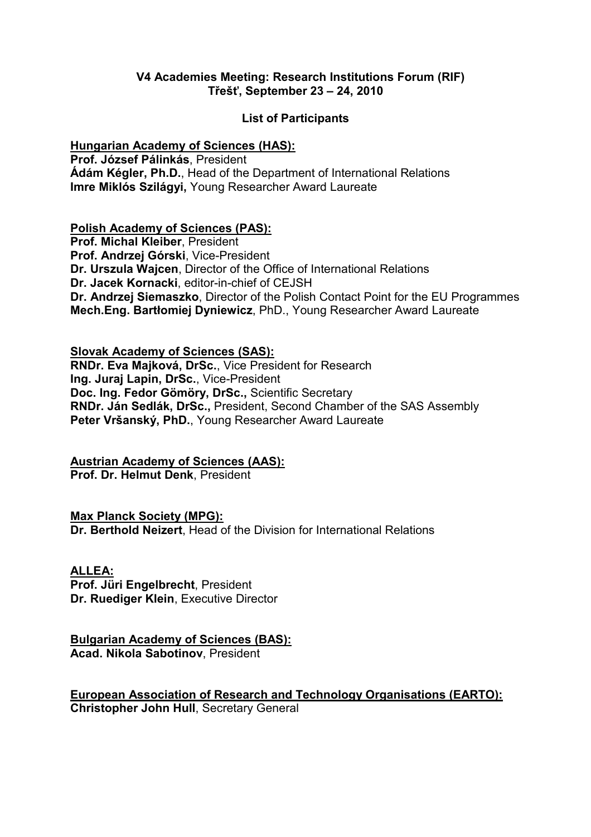#### V4 Academies Meeting: Research Institutions Forum (RIF) Třešť, September 23 – 24, 2010

### List of Participants

#### Hungarian Academy of Sciences (HAS):

Prof. József Pálinkás, President Ádám Kégler, Ph.D., Head of the Department of International Relations Imre Miklós Szilágyi, Young Researcher Award Laureate

### Polish Academy of Sciences (PAS):

Prof. Michal Kleiber, President Prof. Andrzej Górski, Vice-President Dr. Urszula Wajcen, Director of the Office of International Relations Dr. Jacek Kornacki, editor-in-chief of CEJSH Dr. Andrzej Siemaszko, Director of the Polish Contact Point for the EU Programmes Mech.Eng. Bartłomiej Dyniewicz, PhD., Young Researcher Award Laureate

### Slovak Academy of Sciences (SAS):

RNDr. Eva Majková, DrSc., Vice President for Research Ing. Juraj Lapin, DrSc., Vice-President Doc. Ing. Fedor Gömöry, DrSc., Scientific Secretary RNDr. Ján Sedlák, DrSc., President, Second Chamber of the SAS Assembly Peter Vršanský, PhD., Young Researcher Award Laureate

# Austrian Academy of Sciences (AAS):

Prof. Dr. Helmut Denk, President

## Max Planck Society (MPG):

Dr. Berthold Neizert, Head of the Division for International Relations

#### ALLEA:

Prof. Jüri Engelbrecht, President Dr. Ruediger Klein, Executive Director

#### Bulgarian Academy of Sciences (BAS): Acad. Nikola Sabotinov, President

European Association of Research and Technology Organisations (EARTO): Christopher John Hull, Secretary General